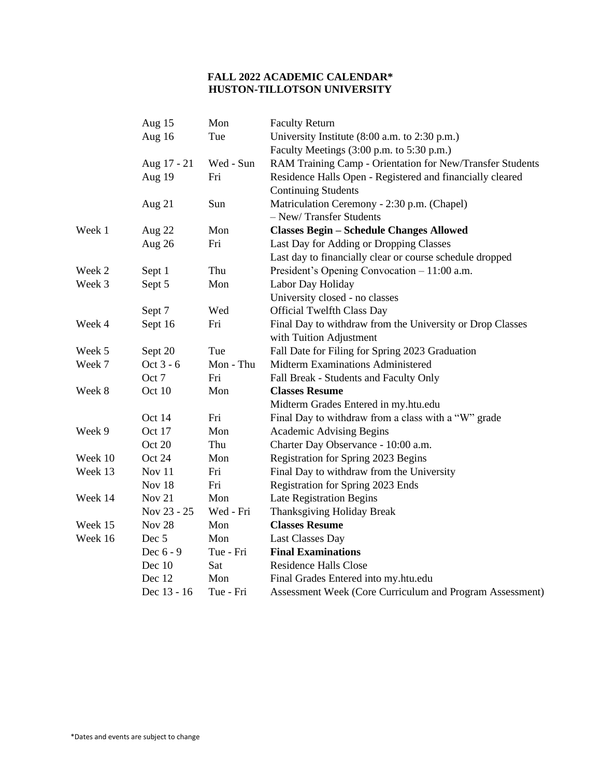## **FALL 2022 ACADEMIC CALENDAR\* HUSTON-TILLOTSON UNIVERSITY**

|         | Aug 15        | Mon       | <b>Faculty Return</b>                                     |
|---------|---------------|-----------|-----------------------------------------------------------|
|         | Aug 16        | Tue       | University Institute (8:00 a.m. to 2:30 p.m.)             |
|         |               |           | Faculty Meetings (3:00 p.m. to 5:30 p.m.)                 |
|         | Aug 17 - 21   | Wed - Sun | RAM Training Camp - Orientation for New/Transfer Students |
|         | Aug 19        | Fri       | Residence Halls Open - Registered and financially cleared |
|         |               |           | <b>Continuing Students</b>                                |
|         | Aug 21        | Sun       | Matriculation Ceremony - 2:30 p.m. (Chapel)               |
|         |               |           | - New/Transfer Students                                   |
| Week 1  | Aug $22$      | Mon       | <b>Classes Begin - Schedule Changes Allowed</b>           |
|         | Aug 26        | Fri       | Last Day for Adding or Dropping Classes                   |
|         |               |           | Last day to financially clear or course schedule dropped  |
| Week 2  | Sept 1        | Thu       | President's Opening Convocation - 11:00 a.m.              |
| Week 3  | Sept 5        | Mon       | Labor Day Holiday                                         |
|         |               |           | University closed - no classes                            |
|         | Sept 7        | Wed       | <b>Official Twelfth Class Day</b>                         |
| Week 4  | Sept 16       | Fri       | Final Day to withdraw from the University or Drop Classes |
|         |               |           | with Tuition Adjustment                                   |
| Week 5  | Sept 20       | Tue       | Fall Date for Filing for Spring 2023 Graduation           |
| Week 7  | Oct 3 - 6     | Mon - Thu | Midterm Examinations Administered                         |
|         | Oct 7         | Fri       | Fall Break - Students and Faculty Only                    |
| Week 8  | Oct 10        | Mon       | <b>Classes Resume</b>                                     |
|         |               |           | Midterm Grades Entered in my.htu.edu                      |
|         | Oct 14        | Fri       | Final Day to withdraw from a class with a "W" grade       |
| Week 9  | Oct 17        | Mon       | <b>Academic Advising Begins</b>                           |
|         | Oct 20        | Thu       | Charter Day Observance - 10:00 a.m.                       |
| Week 10 | Oct 24        | Mon       | Registration for Spring 2023 Begins                       |
| Week 13 | Nov 11        | Fri       | Final Day to withdraw from the University                 |
|         | Nov 18        | Fri       | Registration for Spring 2023 Ends                         |
| Week 14 | Nov 21        | Mon       | <b>Late Registration Begins</b>                           |
|         | Nov 23 - 25   | Wed - Fri | Thanksgiving Holiday Break                                |
| Week 15 | <b>Nov 28</b> | Mon       | <b>Classes Resume</b>                                     |
| Week 16 | Dec 5         | Mon       | <b>Last Classes Day</b>                                   |
|         | Dec 6 - 9     | Tue - Fri | <b>Final Examinations</b>                                 |
|         | Dec 10        | Sat       | <b>Residence Halls Close</b>                              |
|         | Dec 12        | Mon       | Final Grades Entered into my.htu.edu                      |
|         | Dec 13 - 16   | Tue - Fri | Assessment Week (Core Curriculum and Program Assessment)  |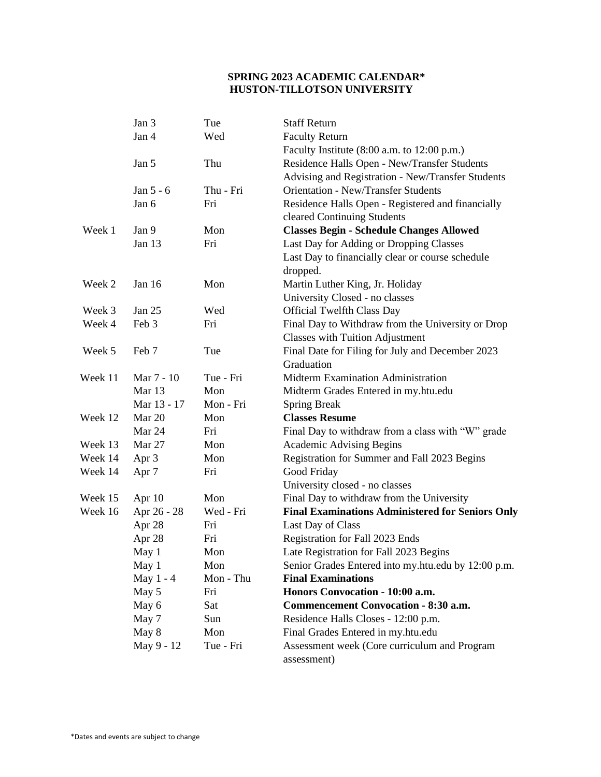## **SPRING 2023 ACADEMIC CALENDAR\* HUSTON-TILLOTSON UNIVERSITY**

|         | Jan 3            | Tue       | <b>Staff Return</b>                                         |
|---------|------------------|-----------|-------------------------------------------------------------|
|         | Jan 4            | Wed       | <b>Faculty Return</b>                                       |
|         |                  |           | Faculty Institute (8:00 a.m. to 12:00 p.m.)                 |
|         | Jan 5            | Thu       | Residence Halls Open - New/Transfer Students                |
|         |                  |           | Advising and Registration - New/Transfer Students           |
|         | Jan 5 - 6        | Thu - Fri | <b>Orientation - New/Transfer Students</b>                  |
|         | Jan 6            | Fri       | Residence Halls Open - Registered and financially           |
|         |                  |           | cleared Continuing Students                                 |
| Week 1  | Jan 9            | Mon       | <b>Classes Begin - Schedule Changes Allowed</b>             |
|         | Jan 13           | Fri       | Last Day for Adding or Dropping Classes                     |
|         |                  |           | Last Day to financially clear or course schedule            |
|         |                  |           | dropped.                                                    |
| Week 2  | Jan 16           | Mon       | Martin Luther King, Jr. Holiday                             |
|         |                  |           | University Closed - no classes                              |
| Week 3  | Jan 25           | Wed       | <b>Official Twelfth Class Day</b>                           |
| Week 4  | Feb 3            | Fri       | Final Day to Withdraw from the University or Drop           |
|         |                  |           | <b>Classes with Tuition Adjustment</b>                      |
| Week 5  | Feb 7            | Tue       | Final Date for Filing for July and December 2023            |
|         |                  |           | Graduation                                                  |
| Week 11 | Mar 7 - 10       | Tue - Fri | Midterm Examination Administration                          |
|         | Mar 13           | Mon       | Midterm Grades Entered in my.htu.edu                        |
|         | Mar 13 - 17      | Mon - Fri | <b>Spring Break</b>                                         |
| Week 12 | Mar 20           | Mon       | <b>Classes Resume</b>                                       |
|         | Mar 24           | Fri       | Final Day to withdraw from a class with "W" grade           |
| Week 13 | Mar 27           | Mon       | <b>Academic Advising Begins</b>                             |
| Week 14 | Apr 3            | Mon       | Registration for Summer and Fall 2023 Begins                |
| Week 14 | Apr <sub>7</sub> | Fri       | Good Friday                                                 |
|         |                  |           | University closed - no classes                              |
| Week 15 | Apr $10$         | Mon       | Final Day to withdraw from the University                   |
| Week 16 | Apr 26 - 28      | Wed - Fri | <b>Final Examinations Administered for Seniors Only</b>     |
|         | Apr 28           | Fri       | Last Day of Class                                           |
|         | Apr 28           | Fri       | Registration for Fall 2023 Ends                             |
|         | May 1            | Mon       | Late Registration for Fall 2023 Begins                      |
|         | May 1            | Mon       | Senior Grades Entered into my.htu.edu by 12:00 p.m.         |
|         | May 1 - 4        | Mon - Thu | <b>Final Examinations</b>                                   |
|         | May 5            | Fri       | Honors Convocation - 10:00 a.m.                             |
|         | May 6            | Sat       | <b>Commencement Convocation - 8:30 a.m.</b>                 |
|         | May 7            | Sun       | Residence Halls Closes - 12:00 p.m.                         |
|         | May 8            | Mon       | Final Grades Entered in my.htu.edu                          |
|         | May 9 - 12       | Tue - Fri | Assessment week (Core curriculum and Program<br>assessment) |